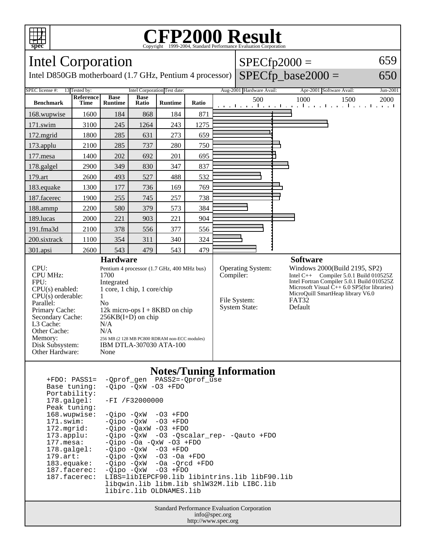

## Copyright ©1999-2004, Standard Performance Evaluation Corporation

Т

| <b>Intel Corporation</b>                                                                                                                                                                                                                                                            |                   |                                                                                                                                                                                                                                                                                                         |                      |                              |       |  | $SPECfp2000 =$                                                         |  |                                                                                                                                                                                                                                                                    |          |
|-------------------------------------------------------------------------------------------------------------------------------------------------------------------------------------------------------------------------------------------------------------------------------------|-------------------|---------------------------------------------------------------------------------------------------------------------------------------------------------------------------------------------------------------------------------------------------------------------------------------------------------|----------------------|------------------------------|-------|--|------------------------------------------------------------------------|--|--------------------------------------------------------------------------------------------------------------------------------------------------------------------------------------------------------------------------------------------------------------------|----------|
| $SPECfp\_base2000 =$<br>Intel D850GB motherboard (1.7 GHz, Pentium 4 processor)                                                                                                                                                                                                     |                   |                                                                                                                                                                                                                                                                                                         |                      |                              |       |  |                                                                        |  |                                                                                                                                                                                                                                                                    | 650      |
| SPEC license #:<br>13 Tested by:                                                                                                                                                                                                                                                    |                   |                                                                                                                                                                                                                                                                                                         |                      | Intel Corporation Test date: |       |  | Aug-2001 Hardware Avail:                                               |  | Apr-2001 Software Avail:                                                                                                                                                                                                                                           | Jun-2001 |
| <b>Benchmark</b>                                                                                                                                                                                                                                                                    | Reference<br>Time | <b>Base</b><br><b>Runtime</b>                                                                                                                                                                                                                                                                           | <b>Base</b><br>Ratio | <b>Runtime</b>               | Ratio |  | 500                                                                    |  | 1000<br>1500<br>and the medical contract of a medical contract contract of                                                                                                                                                                                         | 2000     |
| 168.wupwise                                                                                                                                                                                                                                                                         | 1600              | 184                                                                                                                                                                                                                                                                                                     | 868                  | 184                          | 871   |  |                                                                        |  |                                                                                                                                                                                                                                                                    |          |
| 171.swim                                                                                                                                                                                                                                                                            | 3100              | 245                                                                                                                                                                                                                                                                                                     | 1264                 | 243                          | 1275  |  |                                                                        |  |                                                                                                                                                                                                                                                                    |          |
| 172.mgrid                                                                                                                                                                                                                                                                           | 1800              | 285                                                                                                                                                                                                                                                                                                     | 631                  | 273                          | 659   |  |                                                                        |  |                                                                                                                                                                                                                                                                    |          |
| 173.applu                                                                                                                                                                                                                                                                           | 2100              | 285                                                                                                                                                                                                                                                                                                     | 737                  | 280                          | 750   |  |                                                                        |  |                                                                                                                                                                                                                                                                    |          |
| 177.mesa                                                                                                                                                                                                                                                                            | 1400              | 202                                                                                                                                                                                                                                                                                                     | 692                  | 201                          | 695   |  |                                                                        |  |                                                                                                                                                                                                                                                                    |          |
| 178.galgel                                                                                                                                                                                                                                                                          | 2900              | 349                                                                                                                                                                                                                                                                                                     | 830                  | 347                          | 837   |  |                                                                        |  |                                                                                                                                                                                                                                                                    |          |
| 179.art                                                                                                                                                                                                                                                                             | 2600              | 493                                                                                                                                                                                                                                                                                                     | 527                  | 488                          | 532   |  |                                                                        |  |                                                                                                                                                                                                                                                                    |          |
| 183.equake                                                                                                                                                                                                                                                                          | 1300              | 177                                                                                                                                                                                                                                                                                                     | 736                  | 169                          | 769   |  |                                                                        |  |                                                                                                                                                                                                                                                                    |          |
| 187.facerec                                                                                                                                                                                                                                                                         | 1900              | 255                                                                                                                                                                                                                                                                                                     | 745                  | 257                          | 738   |  |                                                                        |  |                                                                                                                                                                                                                                                                    |          |
| 188.ammp                                                                                                                                                                                                                                                                            | 2200              | 580                                                                                                                                                                                                                                                                                                     | 379                  | 573                          | 384   |  |                                                                        |  |                                                                                                                                                                                                                                                                    |          |
| 189.lucas                                                                                                                                                                                                                                                                           | 2000              | 221                                                                                                                                                                                                                                                                                                     | 903                  | 221                          | 904   |  |                                                                        |  |                                                                                                                                                                                                                                                                    |          |
| 191.fma3d                                                                                                                                                                                                                                                                           | 2100              | 378                                                                                                                                                                                                                                                                                                     | 556                  | 377                          | 556   |  |                                                                        |  |                                                                                                                                                                                                                                                                    |          |
| 200.sixtrack                                                                                                                                                                                                                                                                        | 1100              | 354                                                                                                                                                                                                                                                                                                     | 311                  | 340                          | 324   |  |                                                                        |  |                                                                                                                                                                                                                                                                    |          |
| 301.apsi                                                                                                                                                                                                                                                                            | 2600              | 543                                                                                                                                                                                                                                                                                                     | 479                  | 543                          | 479   |  |                                                                        |  |                                                                                                                                                                                                                                                                    |          |
| CPU:<br><b>CPU MHz:</b><br>FPU:<br>$CPU(s)$ enabled:<br>$CPU(s)$ orderable:<br>Parallel:<br>Primary Cache:<br>Secondary Cache:<br>L3 Cache:<br>Other Cache:<br>Memory:<br>Disk Subsystem:<br>Other Hardware:                                                                        |                   | <b>Hardware</b><br>Pentium 4 processor (1.7 GHz, 400 MHz bus)<br>1700<br>Integrated<br>1 core, 1 chip, 1 core/chip<br>1<br>N <sub>0</sub><br>12k micro-ops $I + 8KBD$ on chip<br>$256KB(I+D)$ on chip<br>N/A<br>N/A<br>256 MB (2 128 MB PC800 RDRAM non-ECC modules)<br>IBM DTLA-307030 ATA-100<br>None |                      |                              |       |  | Operating System:<br>Compiler:<br>File System:<br><b>System State:</b> |  | <b>Software</b><br>Windows 2000(Build 2195, SP2)<br>Intel C++ Compiler 5.0.1 Build 010525Z<br>Intel Fortran Compiler 5.0.1 Build 010525Z<br>Microsoft Visual $\bar{C}_{++}$ 6.0 SP5(for libraries)<br>MicroQuill SmartHeap library V6.0<br><b>FAT32</b><br>Default |          |
| <b>Notes/Tuning Information</b><br>-Qprof_gen PASS2=-Qprof_use<br>$+FDO: PASS1=$<br>$-Qipo -QxW -O3 + FDO$<br>Base tuning:<br>Portability:<br>178.galgel:<br>$-FI / F32000000$<br>Peak tuning:<br>168.wupwise:<br>-Qipo -QxW<br>$-03$ +FDO<br>171.swim:<br>-Qipo -QxW<br>$-03$ +FDO |                   |                                                                                                                                                                                                                                                                                                         |                      |                              |       |  |                                                                        |  |                                                                                                                                                                                                                                                                    |          |

Standard Performance Evaluation Corporation info@spec.org http://www.spec.org libirc.lib OLDNAMES.lib

libqwin.lib libm.lib shlW32M.lib LIBC.lib

172.mgrid: -Qipo -QaxW -O3 +FDO

177.mesa:  $-Qipo$  -Oa - $QxW$  -O3 +FDO<br>178.galgel:  $-Qipo$  - $QxW$  -O3 +FDO 178.galgel:  $-Qipo -QxW$  -O3 +FDO<br>179.art: -Qipo -QxW -O3 -Oa 179.art: -Qipo -QxW -O3 -Oa +FDO 183.equake: -Qipo -QxW -Oa -Qrcd +FDO 187.facerec: -Qipo -QxW -O3 +FDO

173.applu: -Qipo -QxW -O3 -Qscalar\_rep- -Qauto +FDO

187.facerec: LIBS=libIEPCF90.lib libintrins.lib libF90.lib